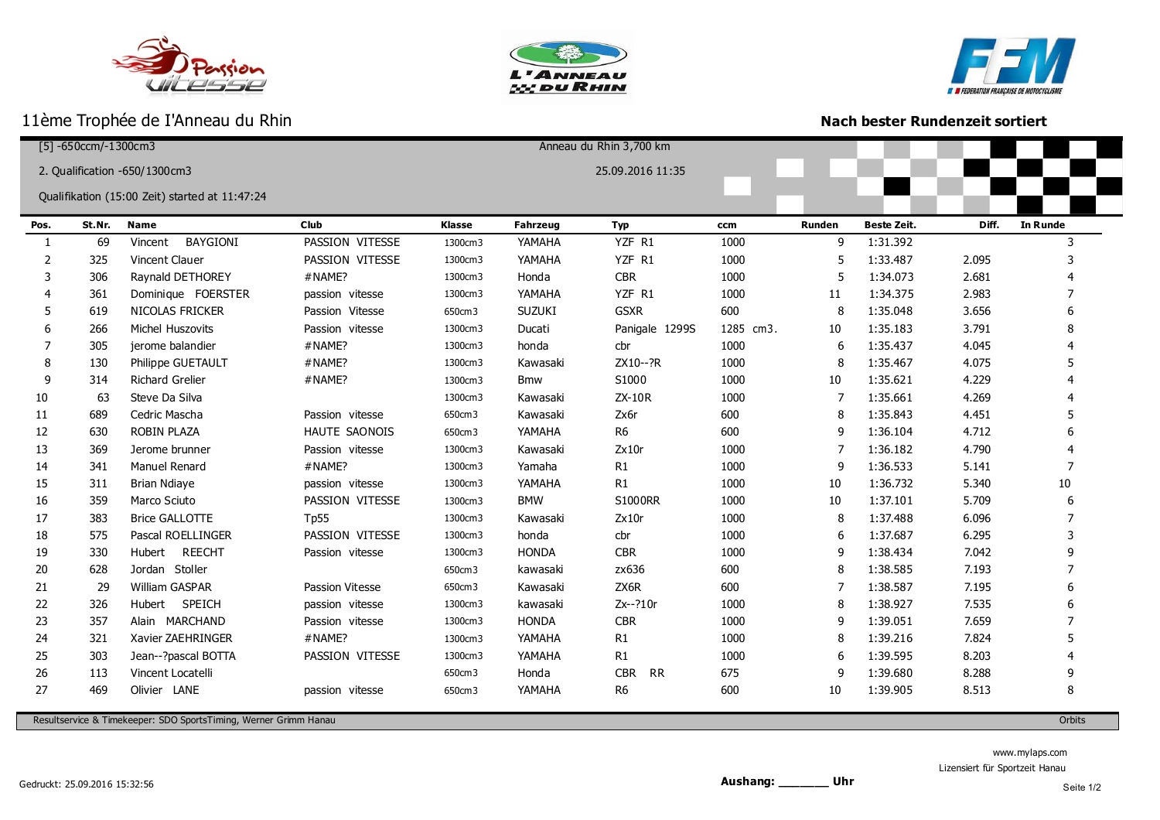







ı

## **Nach bester Rundenzeit sortiert**

| $[5] - 650$ ccm/-1300cm3                          |        |                            |                      |         | Anneau du Rhin 3,700 km |                         |           |               |                    |       |                 |
|---------------------------------------------------|--------|----------------------------|----------------------|---------|-------------------------|-------------------------|-----------|---------------|--------------------|-------|-----------------|
| 25.09.2016 11:35<br>2. Qualification -650/1300cm3 |        |                            |                      |         |                         |                         |           |               |                    |       |                 |
|                                                   |        |                            |                      |         |                         |                         |           |               |                    |       |                 |
| Qualifikation (15:00 Zeit) started at 11:47:24    |        |                            |                      |         |                         |                         |           |               |                    |       |                 |
| Pos.                                              | St.Nr. | <b>Name</b>                | Club                 | Klasse  | <b>Fahrzeug</b>         | <b>Typ</b>              | ccm       | <b>Runden</b> | <b>Beste Zeit.</b> | Diff. | <b>In Runde</b> |
| 1                                                 | 69     | <b>BAYGIONI</b><br>Vincent | PASSION VITESSE      | 1300cm3 | YAMAHA                  | YZF R1                  | 1000      | 9             | 1:31.392           |       | 3               |
| 2                                                 | 325    | Vincent Clauer             | PASSION VITESSE      | 1300cm3 | YAMAHA                  | YZF R1                  | 1000      | 5             | 1:33.487           | 2.095 | 3               |
| 3                                                 | 306    | Raynald DETHOREY           | #NAME?               | 1300cm3 | Honda                   | <b>CBR</b>              | 1000      | 5             | 1:34.073           | 2.681 |                 |
|                                                   | 361    | Dominique FOERSTER         | passion vitesse      | 1300cm3 | YAMAHA                  | YZF R1                  | 1000      | 11            | 1:34.375           | 2.983 | 7               |
| 5                                                 | 619    | NICOLAS FRICKER            | Passion Vitesse      | 650cm3  | <b>SUZUKI</b>           | <b>GSXR</b>             | 600       | 8             | 1:35.048           | 3.656 |                 |
| 6                                                 | 266    | Michel Huszovits           | Passion vitesse      | 1300cm3 | Ducati                  | Panigale 1299S          | 1285 cm3. | 10            | 1:35.183           | 3.791 |                 |
| 7                                                 | 305    | jerome balandier           | #NAME?               | 1300cm3 | honda                   | cbr                     | 1000      | 6             | 1:35.437           | 4.045 |                 |
| 8                                                 | 130    | Philippe GUETAULT          | #NAME?               | 1300cm3 | Kawasaki                | ZX10--?R                | 1000      | 8             | 1:35.467           | 4.075 |                 |
| 9                                                 | 314    | <b>Richard Grelier</b>     | #NAME?               | 1300cm3 | <b>Bmw</b>              | S1000                   | 1000      | 10            | 1:35.621           | 4.229 |                 |
| 10                                                | 63     | Steve Da Silva             |                      | 1300cm3 | Kawasaki                | ZX-10R                  | 1000      | 7             | 1:35.661           | 4.269 |                 |
| 11                                                | 689    | Cedric Mascha              | Passion vitesse      | 650cm3  | Kawasaki                | Zx6r                    | 600       | 8             | 1:35.843           | 4.451 | 5               |
| 12                                                | 630    | ROBIN PLAZA                | <b>HAUTE SAONOIS</b> | 650cm3  | YAMAHA                  | R <sub>6</sub>          | 600       | 9             | 1:36.104           | 4.712 |                 |
| 13                                                | 369    | Jerome brunner             | Passion vitesse      | 1300cm3 | Kawasaki                | Zx10r                   | 1000      | 7             | 1:36.182           | 4.790 |                 |
| 14                                                | 341    | Manuel Renard              | #NAME?               | 1300cm3 | Yamaha                  | R1                      | 1000      | 9             | 1:36.533           | 5.141 |                 |
| 15                                                | 311    | <b>Brian Ndiaye</b>        | passion vitesse      | 1300cm3 | YAMAHA                  | R1                      | 1000      | 10            | 1:36.732           | 5.340 | $10\,$          |
| 16                                                | 359    | Marco Sciuto               | PASSION VITESSE      | 1300cm3 | <b>BMW</b>              | <b>S1000RR</b>          | 1000      | 10            | 1:37.101           | 5.709 | 6               |
| 17                                                | 383    | <b>Brice GALLOTTE</b>      | <b>Tp55</b>          | 1300cm3 | Kawasaki                | Zx10r                   | 1000      | 8             | 1:37.488           | 6.096 | 7               |
| 18                                                | 575    | Pascal ROELLINGER          | PASSION VITESSE      | 1300cm3 | honda                   | cbr                     | 1000      | 6             | 1:37.687           | 6.295 |                 |
| 19                                                | 330    | <b>REECHT</b><br>Hubert    | Passion vitesse      | 1300cm3 | <b>HONDA</b>            | <b>CBR</b>              | 1000      | 9             | 1:38.434           | 7.042 |                 |
| 20                                                | 628    | Jordan Stoller             |                      | 650cm3  | kawasaki                | zx636                   | 600       | 8             | 1:38.585           | 7.193 |                 |
| 21                                                | 29     | <b>William GASPAR</b>      | Passion Vitesse      | 650cm3  | Kawasaki                | ZX6R                    | 600       | 7             | 1:38.587           | 7.195 |                 |
| 22                                                | 326    | SPEICH<br>Hubert           | passion vitesse      | 1300cm3 | kawasaki                | Zx--?10r                | 1000      | 8             | 1:38.927           | 7.535 |                 |
| 23                                                | 357    | Alain MARCHAND             | Passion vitesse      | 1300cm3 | <b>HONDA</b>            | <b>CBR</b>              | 1000      | 9             | 1:39.051           | 7.659 |                 |
| 24                                                | 321    | Xavier ZAEHRINGER          | #NAME?               | 1300cm3 | YAMAHA                  | R1                      | 1000      | 8             | 1:39.216           | 7.824 | 5               |
| 25                                                | 303    | Jean--?pascal BOTTA        | PASSION VITESSE      | 1300cm3 | YAMAHA                  | R1                      | 1000      | 6             | 1:39.595           | 8.203 |                 |
| 26                                                | 113    | Vincent Locatelli          |                      | 650cm3  | Honda                   | <b>CBR</b><br><b>RR</b> | 675       | 9             | 1:39.680           | 8.288 |                 |
| 27                                                | 469    | Olivier LANE               | passion vitesse      | 650cm3  | YAMAHA                  | R <sub>6</sub>          | 600       | 10            | 1:39.905           | 8.513 | 8               |
|                                                   |        |                            |                      |         |                         |                         |           |               |                    |       |                 |

Resultservice & Timekeeper: SDO SportsTiming, Werner Grimm Hanau Orbits

www.mylaps.com

Lizensiert für Sportzeit Hanau